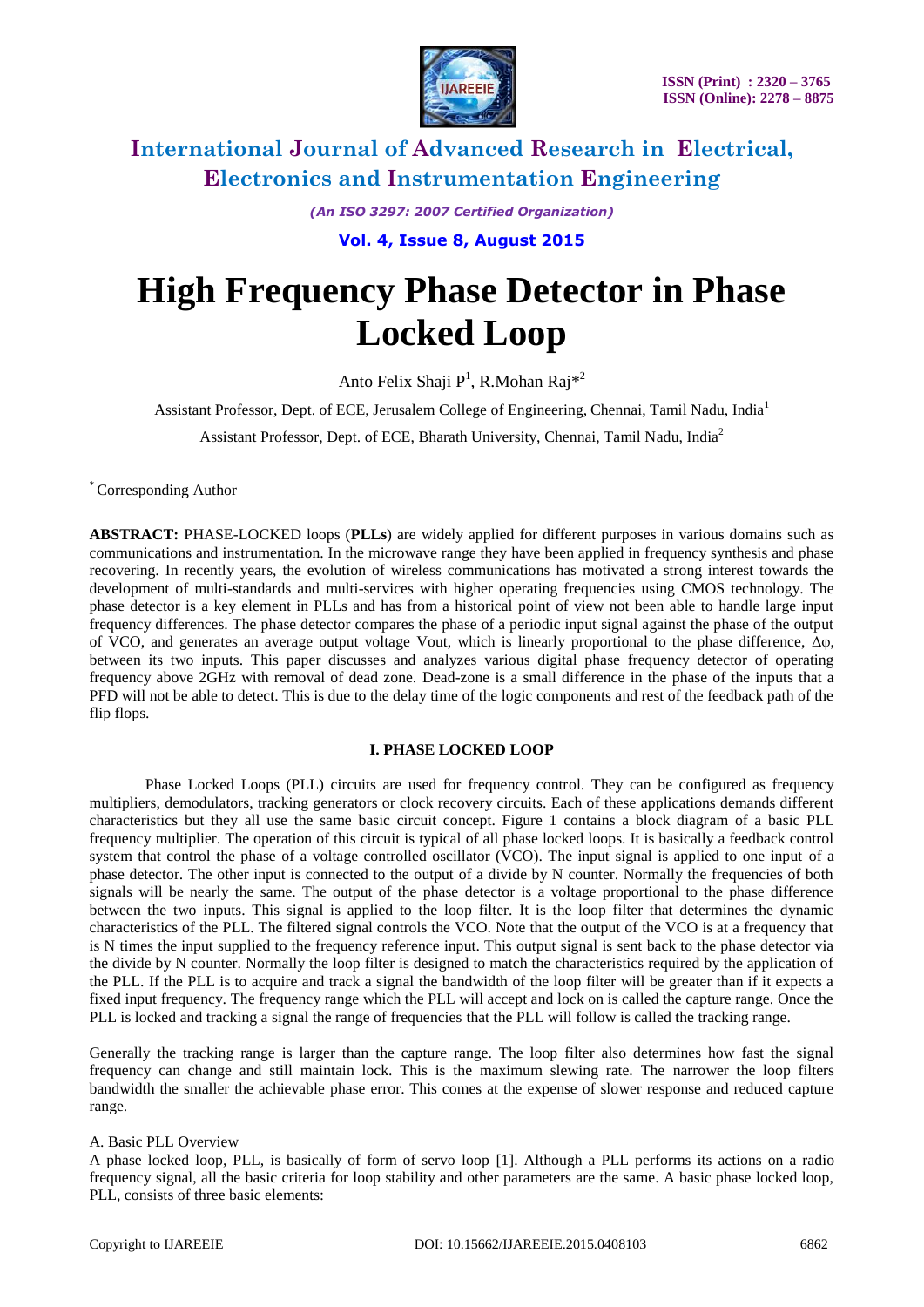

*(An ISO 3297: 2007 Certified Organization)*

**Vol. 4, Issue 8, August 2015**

# **High Frequency Phase Detector in Phase Locked Loop**

Anto Felix Shaji P<sup>1</sup>, R.Mohan Raj<sup>\*2</sup>

Assistant Professor, Dept. of ECE, Jerusalem College of Engineering, Chennai, Tamil Nadu, India<sup>1</sup>

Assistant Professor, Dept. of ECE, Bharath University, Chennai, Tamil Nadu, India<sup>2</sup>

\* Corresponding Author

**ABSTRACT:** PHASE-LOCKED loops (**PLLs**) are widely applied for different purposes in various domains such as communications and instrumentation. In the microwave range they have been applied in frequency synthesis and phase recovering. In recently years, the evolution of wireless communications has motivated a strong interest towards the development of multi-standards and multi-services with higher operating frequencies using CMOS technology. The phase detector is a key element in PLLs and has from a historical point of view not been able to handle large input frequency differences. The phase detector compares the phase of a periodic input signal against the phase of the output of VCO, and generates an average output voltage Vout, which is linearly proportional to the phase difference, Δφ, between its two inputs. This paper discusses and analyzes various digital phase frequency detector of operating frequency above 2GHz with removal of dead zone. Dead-zone is a small difference in the phase of the inputs that a PFD will not be able to detect. This is due to the delay time of the logic components and rest of the feedback path of the flip flops.

#### **I. PHASE LOCKED LOOP**

Phase Locked Loops (PLL) circuits are used for frequency control. They can be configured as frequency multipliers, demodulators, tracking generators or clock recovery circuits. Each of these applications demands different characteristics but they all use the same basic circuit concept. Figure 1 contains a block diagram of a basic PLL frequency multiplier. The operation of this circuit is typical of all phase locked loops. It is basically a feedback control system that control the phase of a voltage controlled oscillator (VCO). The input signal is applied to one input of a phase detector. The other input is connected to the output of a divide by N counter. Normally the frequencies of both signals will be nearly the same. The output of the phase detector is a voltage proportional to the phase difference between the two inputs. This signal is applied to the loop filter. It is the loop filter that determines the dynamic characteristics of the PLL. The filtered signal controls the VCO. Note that the output of the VCO is at a frequency that is N times the input supplied to the frequency reference input. This output signal is sent back to the phase detector via the divide by N counter. Normally the loop filter is designed to match the characteristics required by the application of the PLL. If the PLL is to acquire and track a signal the bandwidth of the loop filter will be greater than if it expects a fixed input frequency. The frequency range which the PLL will accept and lock on is called the capture range. Once the PLL is locked and tracking a signal the range of frequencies that the PLL will follow is called the tracking range.

Generally the tracking range is larger than the capture range. The loop filter also determines how fast the signal frequency can change and still maintain lock. This is the maximum slewing rate. The narrower the loop filters bandwidth the smaller the achievable phase error. This comes at the expense of slower response and reduced capture range.

#### A. Basic PLL Overview

A phase locked loop, PLL, is basically of form of servo loop [1]. Although a PLL performs its actions on a radio frequency signal, all the basic criteria for loop stability and other parameters are the same. A basic phase locked loop, PLL, consists of three basic elements: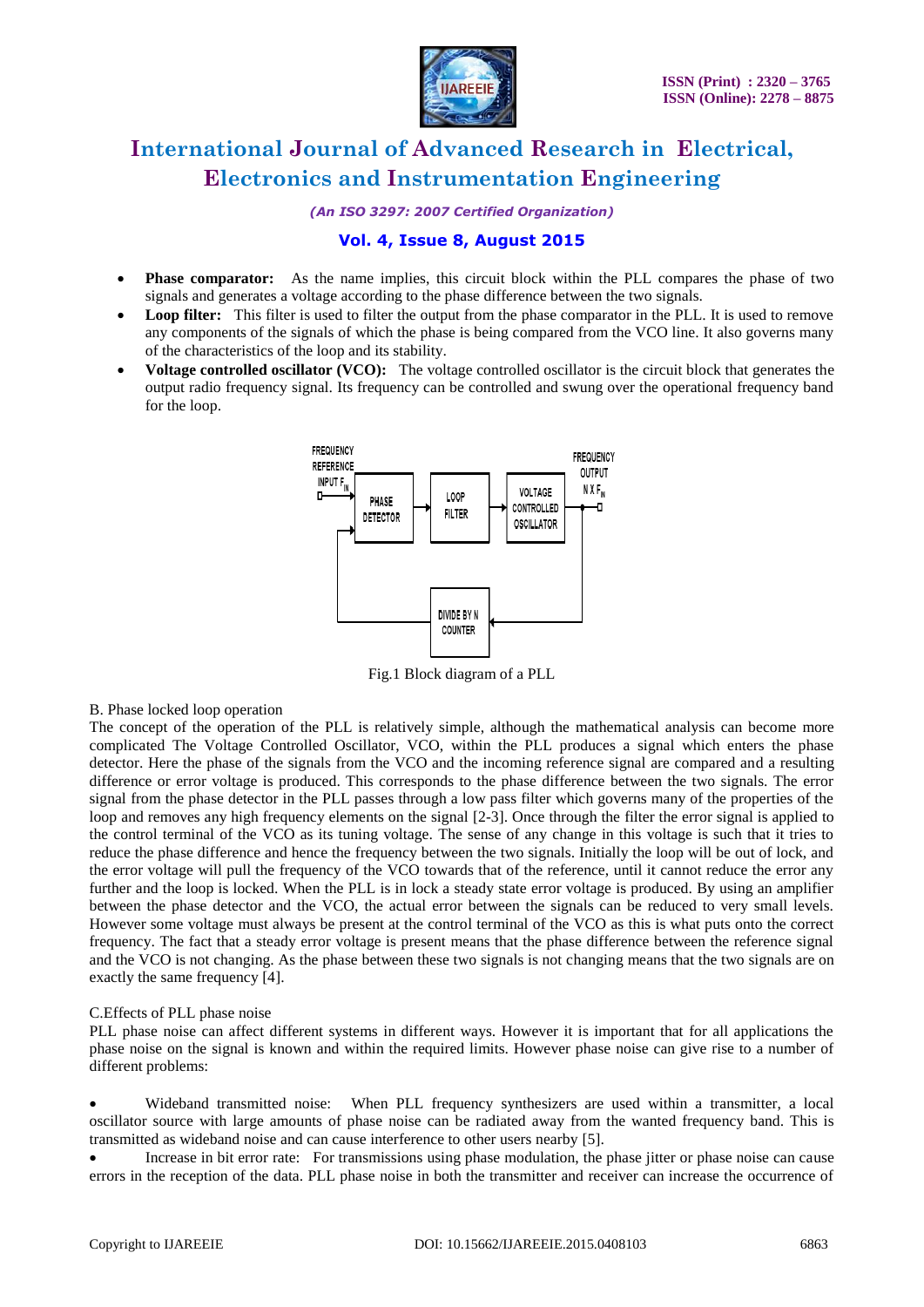

*(An ISO 3297: 2007 Certified Organization)*

### **Vol. 4, Issue 8, August 2015**

- **Phase comparator:** As the name implies, this circuit block within the PLL compares the phase of two signals and generates a voltage according to the phase difference between the two signals.
- Loop filter: This filter is used to filter the output from the phase comparator in the PLL. It is used to remove any components of the signals of which the phase is being compared from the VCO line. It also governs many of the characteristics of the loop and its stability.
- **Voltage controlled oscillator (VCO):** The voltage controlled oscillator is the circuit block that generates the output radio frequency signal. Its frequency can be controlled and swung over the operational frequency band for the loop.



Fig.1 Block diagram of a PLL

#### B. Phase locked loop operation

The concept of the operation of the PLL is relatively simple, although the mathematical analysis can become more complicated The Voltage Controlled Oscillator, VCO, within the PLL produces a signal which enters the phase detector. Here the phase of the signals from the VCO and the incoming reference signal are compared and a resulting difference or error voltage is produced. This corresponds to the phase difference between the two signals. The error signal from the phase detector in the PLL passes through a low pass filter which governs many of the properties of the loop and removes any high frequency elements on the signal [2-3]. Once through the filter the error signal is applied to the control terminal of the VCO as its tuning voltage. The sense of any change in this voltage is such that it tries to reduce the phase difference and hence the frequency between the two signals. Initially the loop will be out of lock, and the error voltage will pull the frequency of the VCO towards that of the reference, until it cannot reduce the error any further and the loop is locked. When the PLL is in lock a steady state error voltage is produced. By using an amplifier between the phase detector and the VCO, the actual error between the signals can be reduced to very small levels. However some voltage must always be present at the control terminal of the VCO as this is what puts onto the correct frequency. The fact that a steady error voltage is present means that the phase difference between the reference signal and the VCO is not changing. As the phase between these two signals is not changing means that the two signals are on exactly the same frequency [4].

#### C.Effects of PLL phase noise

PLL phase noise can affect different systems in different ways. However it is important that for all applications the phase noise on the signal is known and within the required limits. However phase noise can give rise to a number of different problems:

 Wideband transmitted noise: When PLL frequency synthesizers are used within a transmitter, a local oscillator source with large amounts of phase noise can be radiated away from the wanted frequency band. This is transmitted as wideband noise and can cause interference to other users nearby [5].

 Increase in bit error rate: For transmissions using phase modulation, the phase jitter or phase noise can cause errors in the reception of the data. PLL phase noise in both the transmitter and receiver can increase the occurrence of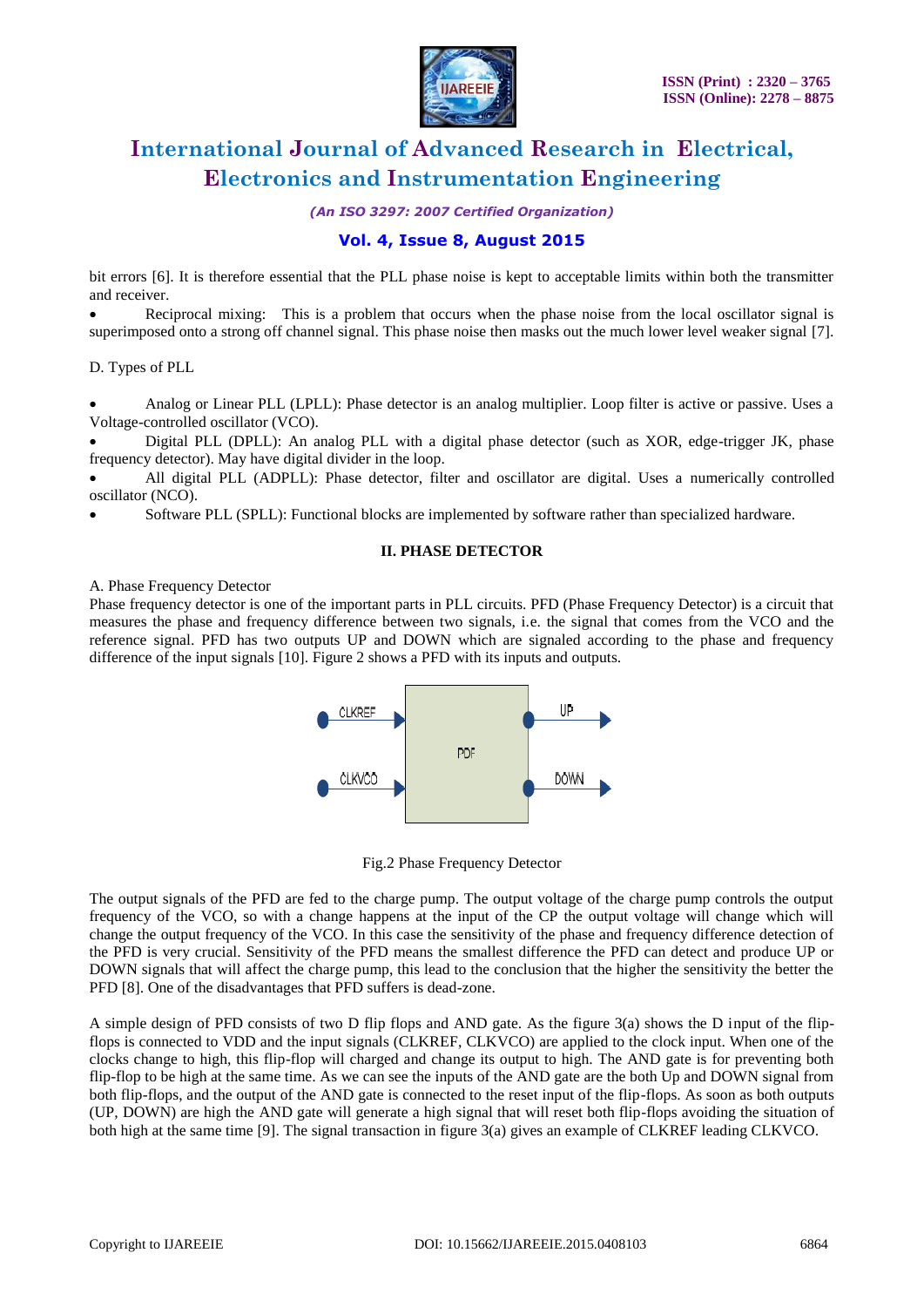

*(An ISO 3297: 2007 Certified Organization)*

### **Vol. 4, Issue 8, August 2015**

bit errors [6]. It is therefore essential that the PLL phase noise is kept to acceptable limits within both the transmitter and receiver.

 Reciprocal mixing: This is a problem that occurs when the phase noise from the local oscillator signal is superimposed onto a strong off channel signal. This phase noise then masks out the much lower level weaker signal [7].

D. Types of PLL

 Analog or Linear PLL (LPLL): Phase detector is an analog multiplier. Loop filter is active or passive. Uses a Voltage-controlled oscillator (VCO).

 Digital PLL (DPLL): An analog PLL with a digital phase detector (such as XOR, edge-trigger JK, phase frequency detector). May have digital divider in the loop.

 All digital PLL (ADPLL): Phase detector, filter and oscillator are digital. Uses a numerically controlled oscillator (NCO).

Software PLL (SPLL): Functional blocks are implemented by software rather than specialized hardware.

#### **II. PHASE DETECTOR**

A. Phase Frequency Detector

Phase frequency detector is one of the important parts in PLL circuits. PFD (Phase Frequency Detector) is a circuit that measures the phase and frequency difference between two signals, i.e. the signal that comes from the VCO and the reference signal. PFD has two outputs UP and DOWN which are signaled according to the phase and frequency difference of the input signals [10]. Figure 2 shows a PFD with its inputs and outputs.



Fig.2 Phase Frequency Detector

The output signals of the PFD are fed to the charge pump. The output voltage of the charge pump controls the output frequency of the VCO, so with a change happens at the input of the CP the output voltage will change which will change the output frequency of the VCO. In this case the sensitivity of the phase and frequency difference detection of the PFD is very crucial. Sensitivity of the PFD means the smallest difference the PFD can detect and produce UP or DOWN signals that will affect the charge pump, this lead to the conclusion that the higher the sensitivity the better the PFD [8]. One of the disadvantages that PFD suffers is dead-zone.

A simple design of PFD consists of two D flip flops and AND gate. As the figure 3(a) shows the D input of the flipflops is connected to VDD and the input signals (CLKREF, CLKVCO) are applied to the clock input. When one of the clocks change to high, this flip-flop will charged and change its output to high. The AND gate is for preventing both flip-flop to be high at the same time. As we can see the inputs of the AND gate are the both Up and DOWN signal from both flip-flops, and the output of the AND gate is connected to the reset input of the flip-flops. As soon as both outputs (UP, DOWN) are high the AND gate will generate a high signal that will reset both flip-flops avoiding the situation of both high at the same time [9]. The signal transaction in figure 3(a) gives an example of CLKREF leading CLKVCO.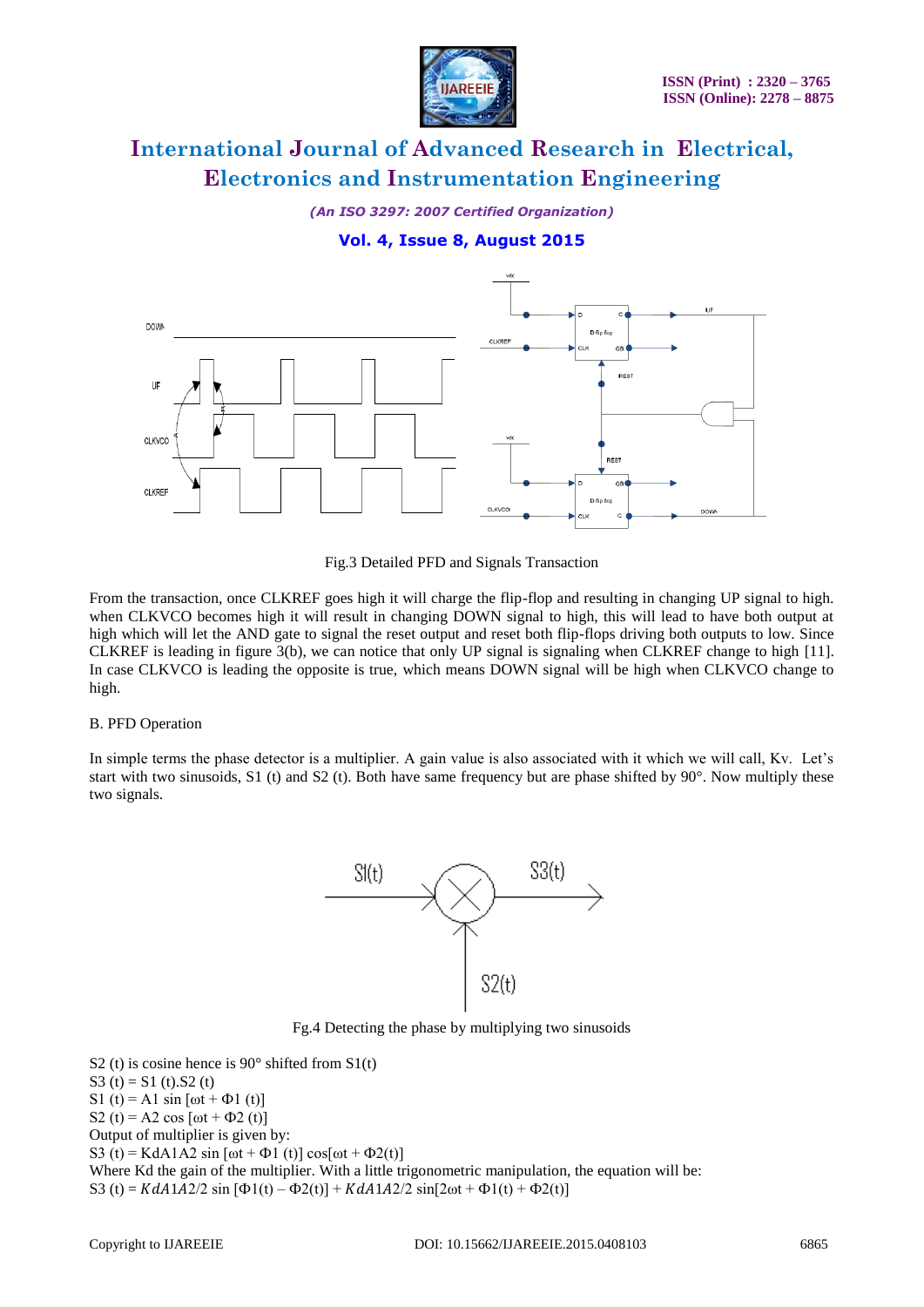

*(An ISO 3297: 2007 Certified Organization)*

### **Vol. 4, Issue 8, August 2015**



Fig.3 Detailed PFD and Signals Transaction

From the transaction, once CLKREF goes high it will charge the flip-flop and resulting in changing UP signal to high. when CLKVCO becomes high it will result in changing DOWN signal to high, this will lead to have both output at high which will let the AND gate to signal the reset output and reset both flip-flops driving both outputs to low. Since CLKREF is leading in figure 3(b), we can notice that only UP signal is signaling when CLKREF change to high [11]. In case CLKVCO is leading the opposite is true, which means DOWN signal will be high when CLKVCO change to high.

#### B. PFD Operation

In simple terms the phase detector is a multiplier. A gain value is also associated with it which we will call, Kv. Let's start with two sinusoids, S1 (t) and S2 (t). Both have same frequency but are phase shifted by 90°. Now multiply these two signals.



Fg.4 Detecting the phase by multiplying two sinusoids

S2 (t) is cosine hence is  $90^\circ$  shifted from S1(t) S3 (t) = S1 (t).S2 (t) S1 (t) = A1 sin  $[\omega t + \Phi 1 (t)]$ S2 (t) = A2 cos  $[*ω* t + *Φ*2 (t)]$ Output of multiplier is given by: S3 (t) = KdA1A2 sin [ $\omega$ t +  $\Phi$ 1 (t)] cos[ $\omega$ t +  $\Phi$ 2(t)] Where Kd the gain of the multiplier. With a little trigonometric manipulation, the equation will be: S3 (t) =  $KdA1A2/2 \sin [\Phi(1(t) - \Phi(2(t))] + KdA1A2/2 \sin[2\omega t + \Phi(1(t) + \Phi(2(t))]$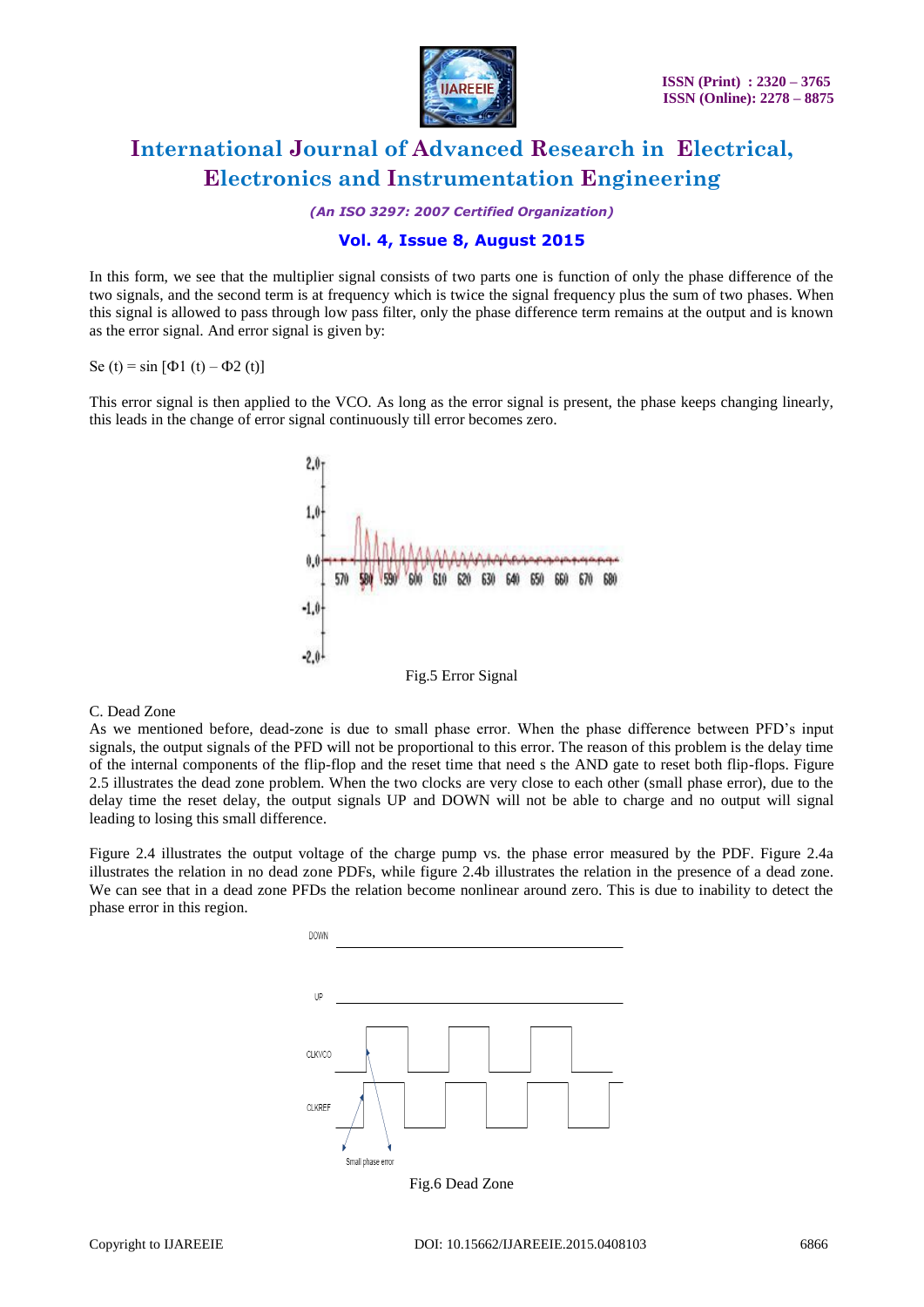

*(An ISO 3297: 2007 Certified Organization)*

### **Vol. 4, Issue 8, August 2015**

In this form, we see that the multiplier signal consists of two parts one is function of only the phase difference of the two signals, and the second term is at frequency which is twice the signal frequency plus the sum of two phases. When this signal is allowed to pass through low pass filter, only the phase difference term remains at the output and is known as the error signal. And error signal is given by:

Se (t) = sin [ $\Phi$ 1 (t) –  $\Phi$ 2 (t)]

This error signal is then applied to the VCO. As long as the error signal is present, the phase keeps changing linearly, this leads in the change of error signal continuously till error becomes zero.



#### C. Dead Zone

As we mentioned before, dead-zone is due to small phase error. When the phase difference between PFD's input signals, the output signals of the PFD will not be proportional to this error. The reason of this problem is the delay time of the internal components of the flip-flop and the reset time that need s the AND gate to reset both flip-flops. Figure 2.5 illustrates the dead zone problem. When the two clocks are very close to each other (small phase error), due to the delay time the reset delay, the output signals UP and DOWN will not be able to charge and no output will signal leading to losing this small difference.

Figure 2.4 illustrates the output voltage of the charge pump vs. the phase error measured by the PDF. Figure 2.4a illustrates the relation in no dead zone PDFs, while figure 2.4b illustrates the relation in the presence of a dead zone. We can see that in a dead zone PFDs the relation become nonlinear around zero. This is due to inability to detect the phase error in this region.

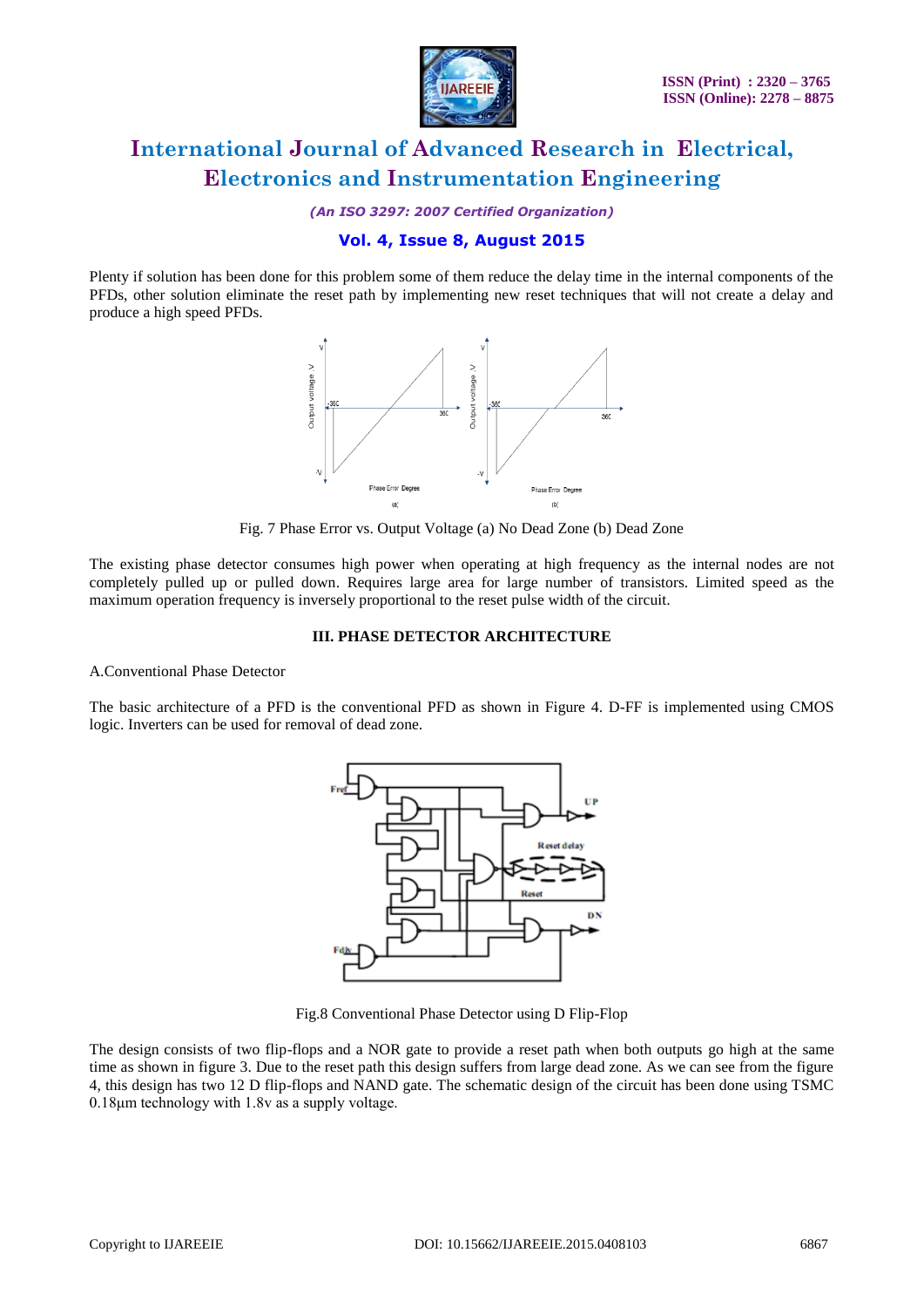

*(An ISO 3297: 2007 Certified Organization)*

## **Vol. 4, Issue 8, August 2015**

Plenty if solution has been done for this problem some of them reduce the delay time in the internal components of the PFDs, other solution eliminate the reset path by implementing new reset techniques that will not create a delay and produce a high speed PFDs.



Fig. 7 Phase Error vs. Output Voltage (a) No Dead Zone (b) Dead Zone

The existing phase detector consumes high power when operating at high frequency as the internal nodes are not completely pulled up or pulled down. Requires large area for large number of transistors. Limited speed as the maximum operation frequency is inversely proportional to the reset pulse width of the circuit.

#### **III. PHASE DETECTOR ARCHITECTURE**

A.Conventional Phase Detector

The basic architecture of a PFD is the conventional PFD as shown in Figure 4. D-FF is implemented using CMOS logic. Inverters can be used for removal of dead zone.



Fig.8 Conventional Phase Detector using D Flip-Flop

The design consists of two flip-flops and a NOR gate to provide a reset path when both outputs go high at the same time as shown in figure 3. Due to the reset path this design suffers from large dead zone. As we can see from the figure 4, this design has two 12 D flip-flops and NAND gate. The schematic design of the circuit has been done using TSMC 0.18μm technology with 1.8v as a supply voltage.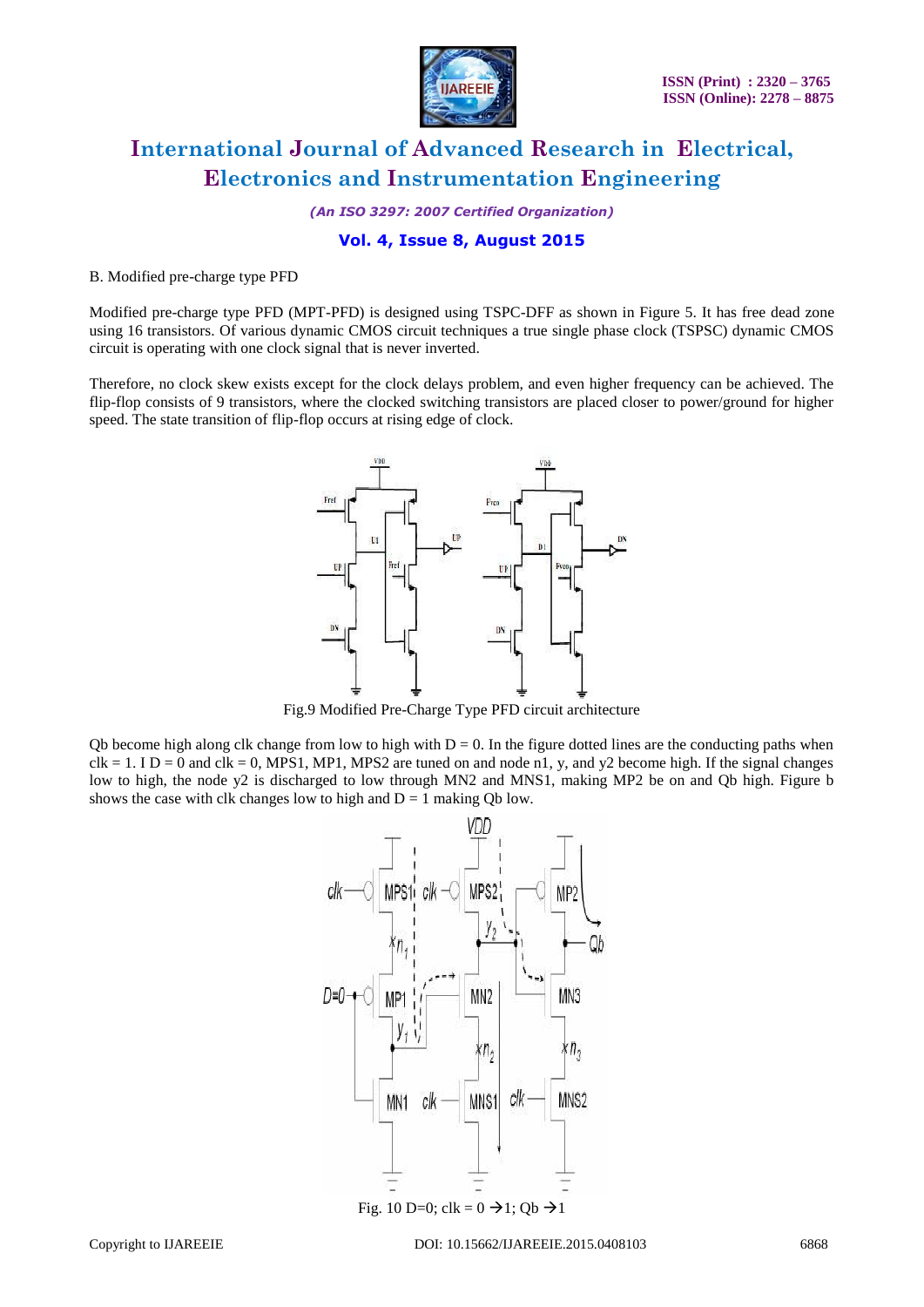

*(An ISO 3297: 2007 Certified Organization)*

### **Vol. 4, Issue 8, August 2015**

#### B. Modified pre-charge type PFD

Modified pre-charge type PFD (MPT-PFD) is designed using TSPC-DFF as shown in Figure 5. It has free dead zone using 16 transistors. Of various dynamic CMOS circuit techniques a true single phase clock (TSPSC) dynamic CMOS circuit is operating with one clock signal that is never inverted.

Therefore, no clock skew exists except for the clock delays problem, and even higher frequency can be achieved. The flip-flop consists of 9 transistors, where the clocked switching transistors are placed closer to power/ground for higher speed. The state transition of flip-flop occurs at rising edge of clock.



Fig.9 Modified Pre-Charge Type PFD circuit architecture

Qb become high along clk change from low to high with  $D = 0$ . In the figure dotted lines are the conducting paths when  $clk = 1.$  I D = 0 and  $clk = 0$ , MPS1, MP1, MPS2 are tuned on and node n1, y, and y2 become high. If the signal changes low to high, the node y2 is discharged to low through MN2 and MNS1, making MP2 be on and Qb high. Figure b shows the case with clk changes low to high and  $D = 1$  making Qb low.

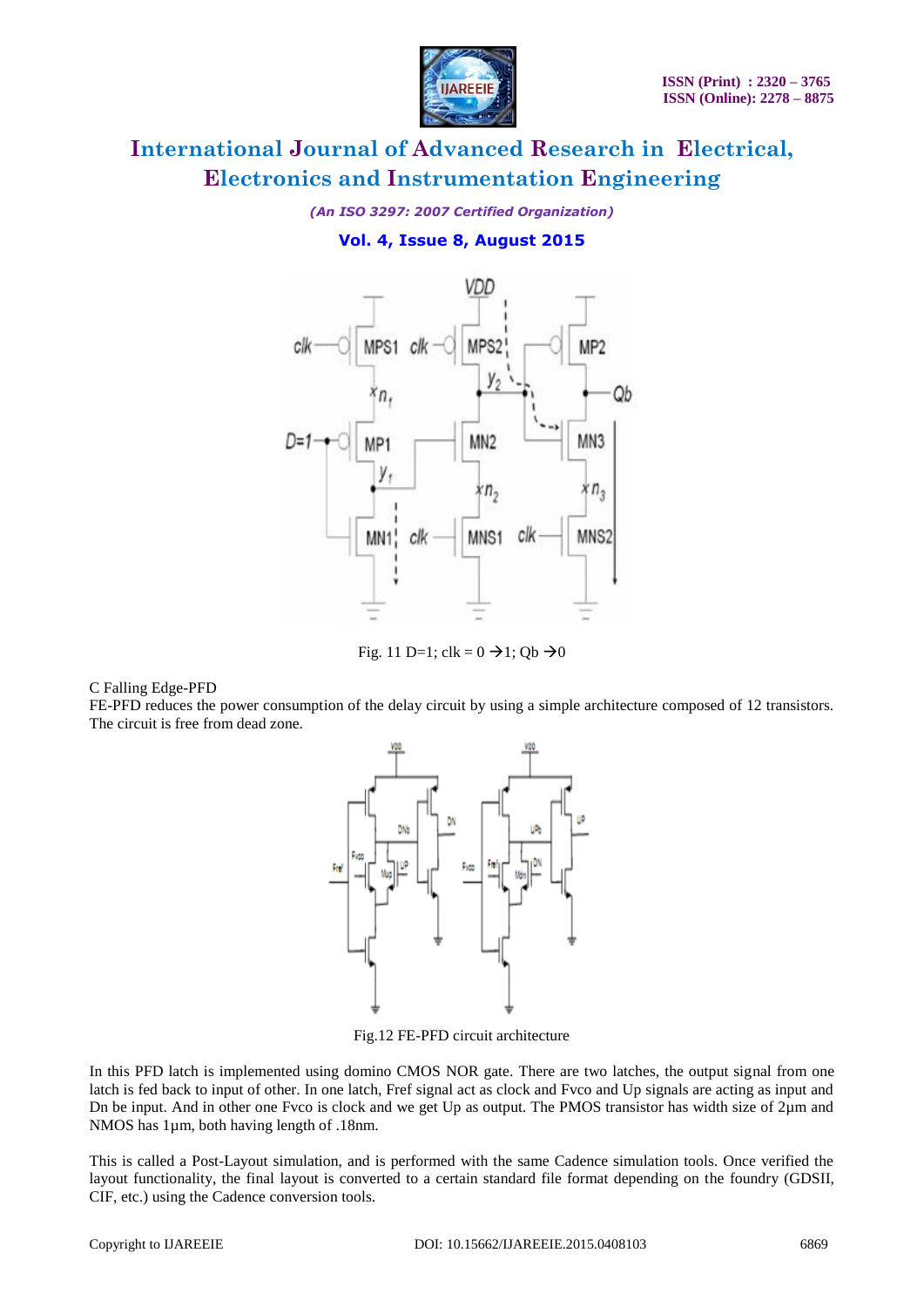

*(An ISO 3297: 2007 Certified Organization)*

### **Vol. 4, Issue 8, August 2015**



Fig. 11 D=1; clk =  $0 \rightarrow 1$ ; Qb  $\rightarrow 0$ 

C Falling Edge-PFD

FE-PFD reduces the power consumption of the delay circuit by using a simple architecture composed of 12 transistors. The circuit is free from dead zone.



Fig.12 FE-PFD circuit architecture

In this PFD latch is implemented using domino CMOS NOR gate. There are two latches, the output signal from one latch is fed back to input of other. In one latch, Fref signal act as clock and Fvco and Up signals are acting as input and Dn be input. And in other one Fvco is clock and we get Up as output. The PMOS transistor has width size of 2µm and NMOS has 1µm, both having length of .18nm.

This is called a Post-Layout simulation, and is performed with the same Cadence simulation tools. Once verified the layout functionality, the final layout is converted to a certain standard file format depending on the foundry (GDSII, CIF, etc.) using the Cadence conversion tools.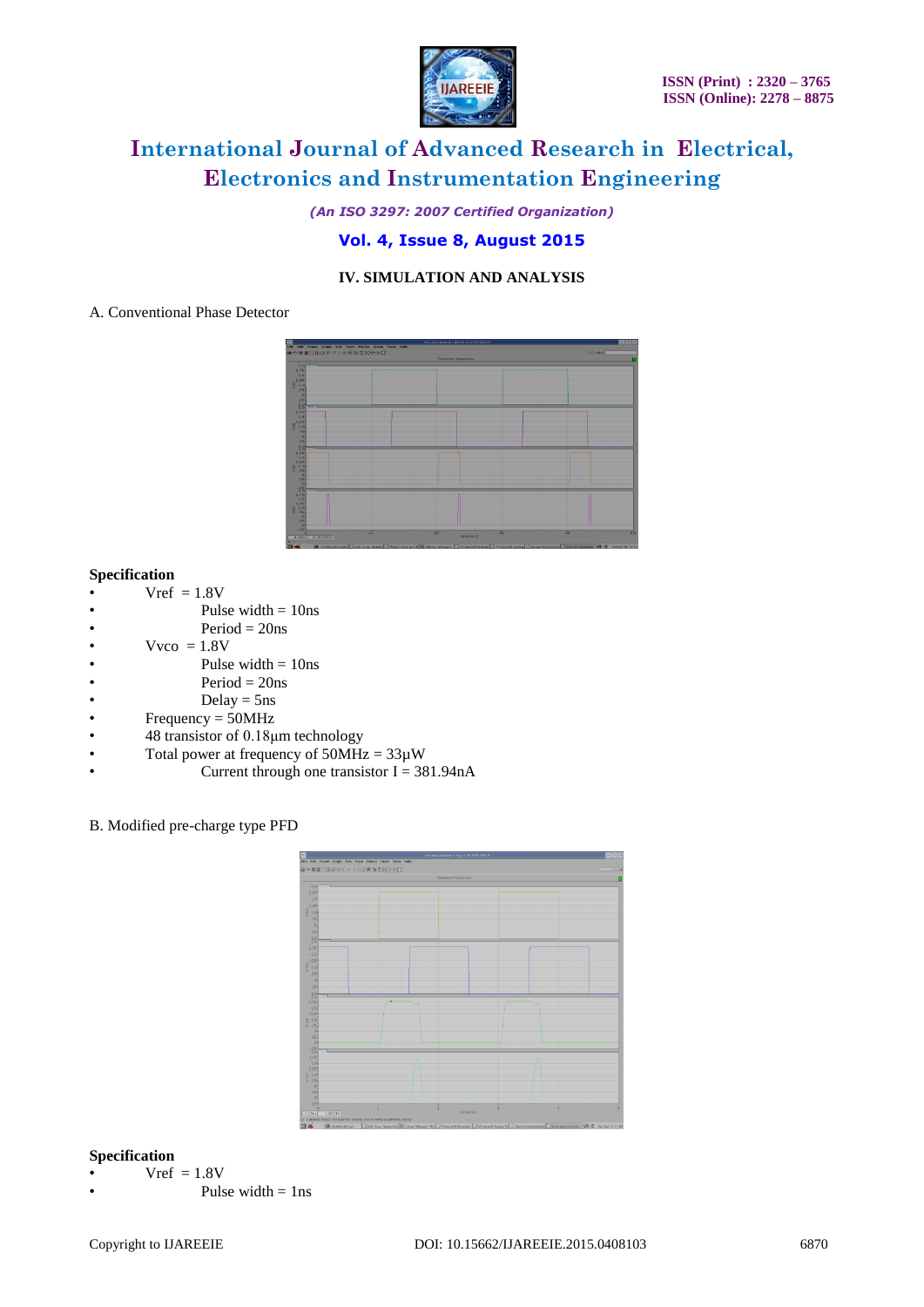

*(An ISO 3297: 2007 Certified Organization)*

### **Vol. 4, Issue 8, August 2015**

### **IV. SIMULATION AND ANALYSIS**

### A. Conventional Phase Detector



#### **Specification**

- $Vref = 1.8V$
- Pulse width  $= 10$ ns
- $Period = 20ns$
- $Vvco = 1.8V$
- Pulse width  $= 10$ ns
- $Period = 20ns$
- $Delay = 5ns$
- Frequency = 50MHz
- 48 transistor of 0.18μm technology
- Total power at frequency of  $50MHz = 33\mu W$
- Current through one transistor  $I = 381.94nA$

#### B. Modified pre-charge type PFD



### **Specification**

- $Vref = 1.8V$
- Pulse width  $=$  1ns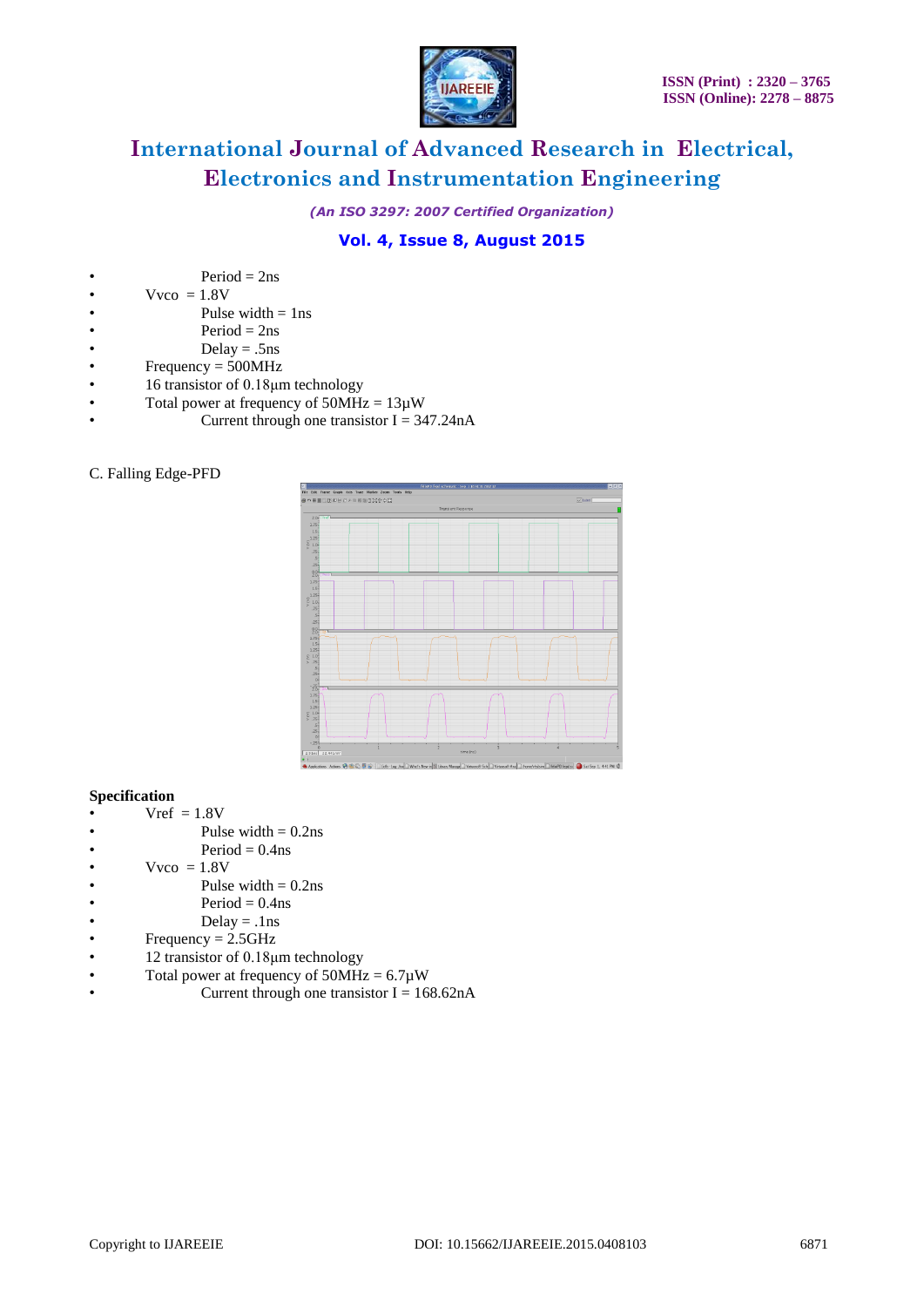

*(An ISO 3297: 2007 Certified Organization)*

# **Vol. 4, Issue 8, August 2015**

- $Vvco = 1.8V$
- Pulse width  $= 1$ ns
- $Period = 2ns$
- Delay = .5ns
- Frequency  $= 500 MHz$
- 16 transistor of 0.18μm technology
- Total power at frequency of  $50MHz = 13\mu W$ 
	- Current through one transistor  $I = 347.24nA$

### C. Falling Edge-PFD



#### **Specification**

- $Vref = 1.8V$
- Pulse width  $= 0.2$ ns
- $Period = 0.4$ ns
- $Vvco = 1.8V$
- Pulse width  $= 0.2$ ns
- $Period = 0.4$ ns
- $Delay = .1ns$
- $Frequency = 2.5GHz$
- 12 transistor of 0.18μm technology
- Total power at frequency of  $50MHz = 6.7\mu W$
- Current through one transistor  $I = 168.62nA$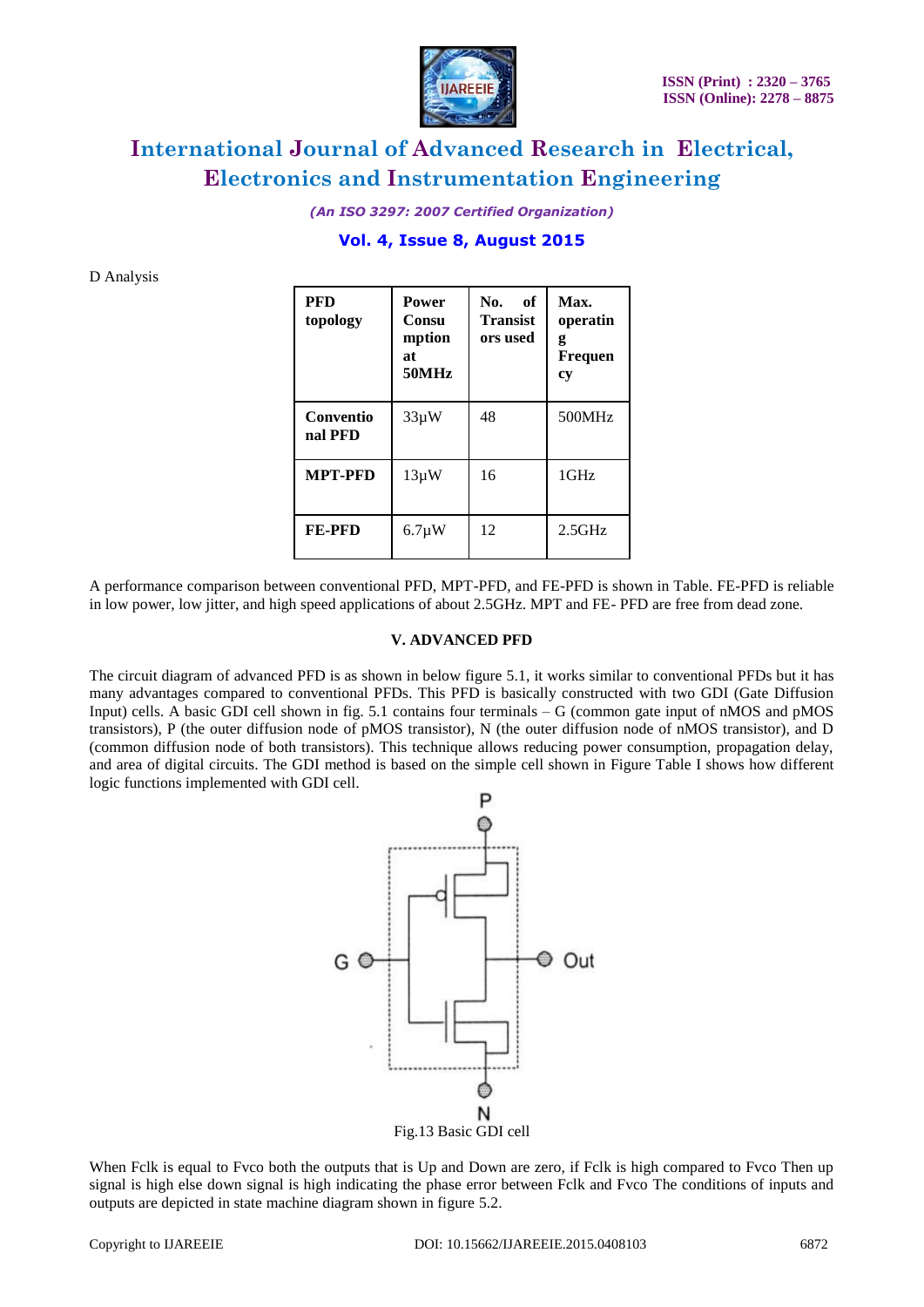

*(An ISO 3297: 2007 Certified Organization)*

### **Vol. 4, Issue 8, August 2015**

D Analysis

| <b>PFD</b><br>topology | <b>Power</b><br>Consu<br>mption<br>at<br>50MHz | No.<br>оf<br><b>Transist</b><br>ors used | Max.<br>operatin<br>g<br><b>Frequen</b><br>cy |
|------------------------|------------------------------------------------|------------------------------------------|-----------------------------------------------|
| Conventio<br>nal PFD   | $33\mu W$                                      | 48                                       | 500MHz                                        |
| <b>MPT-PFD</b>         | $13\mu W$                                      | 16                                       | $1$ GHz                                       |
| <b>FE-PFD</b>          | $6.7 \mu W$                                    | 12                                       | $2.5$ GHz                                     |

A performance comparison between conventional PFD, MPT-PFD, and FE-PFD is shown in Table. FE-PFD is reliable in low power, low jitter, and high speed applications of about 2.5GHz. MPT and FE- PFD are free from dead zone.

#### **V. ADVANCED PFD**

The circuit diagram of advanced PFD is as shown in below figure 5.1, it works similar to conventional PFDs but it has many advantages compared to conventional PFDs. This PFD is basically constructed with two GDI (Gate Diffusion Input) cells. A basic GDI cell shown in fig. 5.1 contains four terminals – G (common gate input of nMOS and pMOS transistors), P (the outer diffusion node of pMOS transistor), N (the outer diffusion node of nMOS transistor), and D (common diffusion node of both transistors). This technique allows reducing power consumption, propagation delay, and area of digital circuits. The GDI method is based on the simple cell shown in Figure Table I shows how different logic functions implemented with GDI cell.



When Fclk is equal to Fyco both the outputs that is Up and Down are zero, if Fclk is high compared to Fyco Then up signal is high else down signal is high indicating the phase error between Fclk and Fvco The conditions of inputs and outputs are depicted in state machine diagram shown in figure 5.2.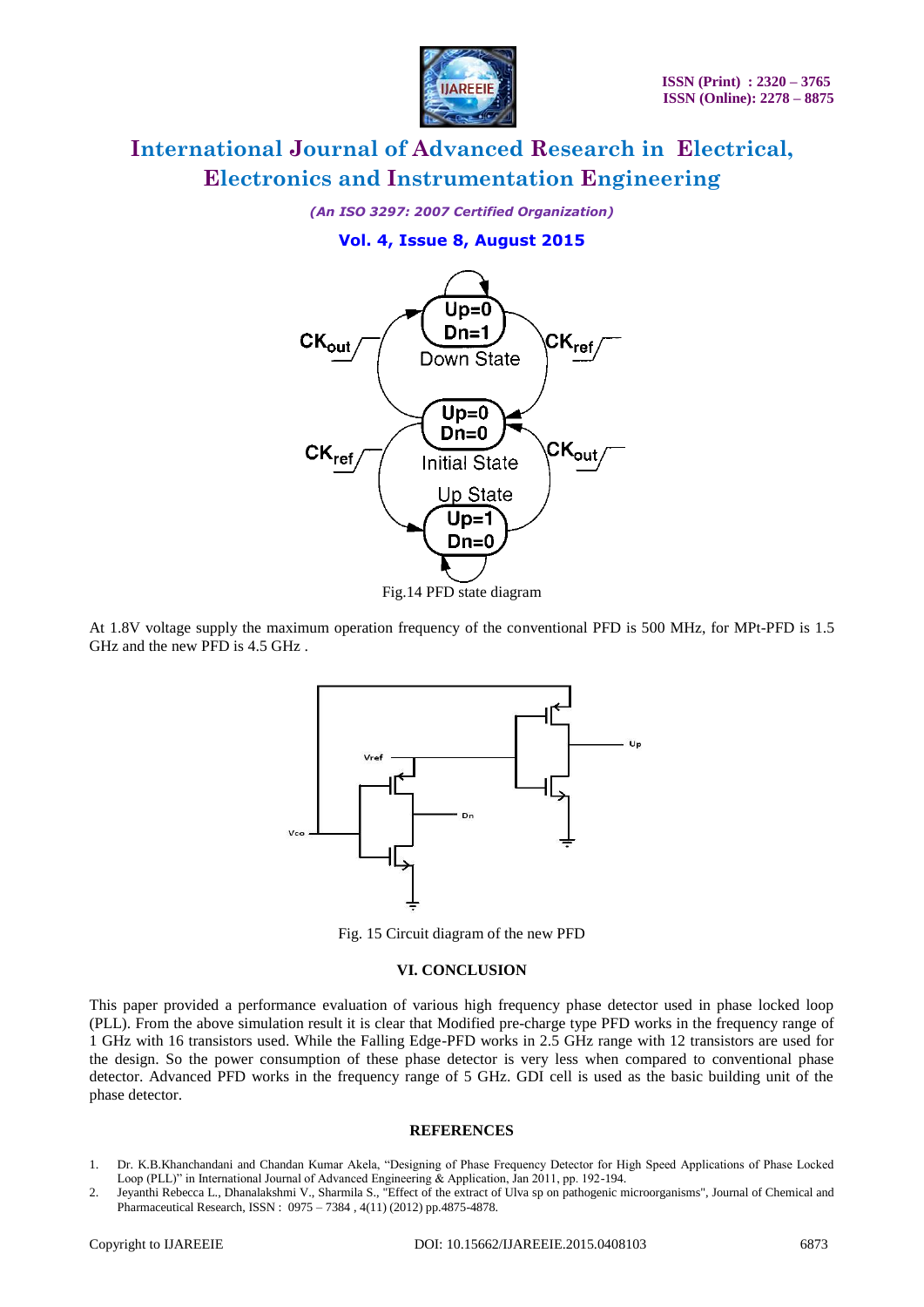

*(An ISO 3297: 2007 Certified Organization)*

### **Vol. 4, Issue 8, August 2015**



At 1.8V voltage supply the maximum operation frequency of the conventional PFD is 500 MHz, for MPt-PFD is 1.5 GHz and the new PFD is 4.5 GHz .



Fig. 15 Circuit diagram of the new PFD

#### **VI. CONCLUSION**

This paper provided a performance evaluation of various high frequency phase detector used in phase locked loop (PLL). From the above simulation result it is clear that Modified pre-charge type PFD works in the frequency range of 1 GHz with 16 transistors used. While the Falling Edge-PFD works in 2.5 GHz range with 12 transistors are used for the design. So the power consumption of these phase detector is very less when compared to conventional phase detector. Advanced PFD works in the frequency range of 5 GHz. GDI cell is used as the basic building unit of the phase detector.

#### **REFERENCES**

- 1. Dr. K.B.Khanchandani and Chandan Kumar Akela, "Designing of Phase Frequency Detector for High Speed Applications of Phase Locked Loop (PLL)" in International Journal of Advanced Engineering & Application, Jan 2011, pp. 192-194.
- 2. Jeyanthi Rebecca L., Dhanalakshmi V., Sharmila S., "Effect of the extract of Ulva sp on pathogenic microorganisms", Journal of Chemical and Pharmaceutical Research, ISSN : 0975 – 7384 , 4(11) (2012) pp.4875-4878.